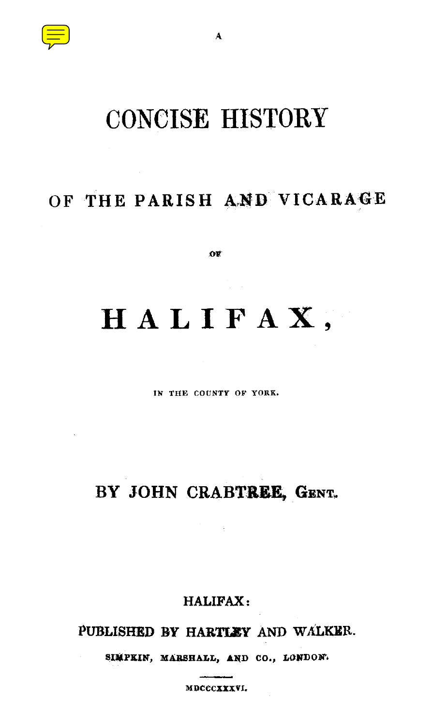

# CONCISE HISTORY

*A*

# OF THE PARISH AND VICARAGE

**OF**

**HALIFAX ,**

**IN THE COUNTY OF YORK.**

# BY JOHN CRABTREE, GENT.

**HALIFAX :**

**PUBLISHED BY HARTLEY AND WALKER .**

**SIMPKIN, MARSHALL, AND CO ., LONDON'.**

**MDCCCXXXVI.**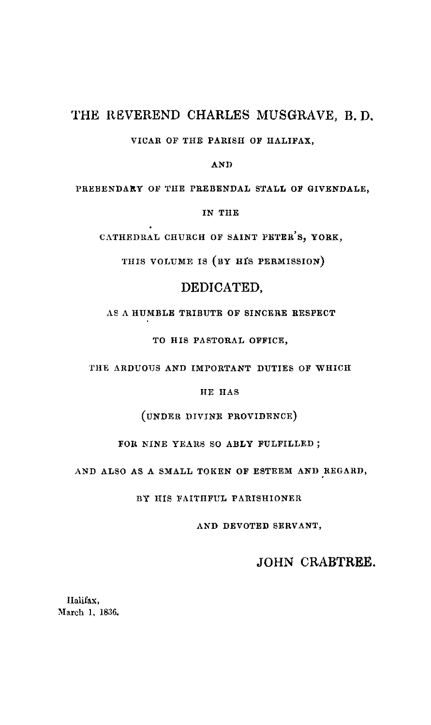#### THE REVEREND CHARLES MUSGRAVE, B.D.

VICAR OF THE **PARISh OF HALIFAX,**

**AN D**

PREBENDARY OF THE PREBENDAL STALL OF GIVENDALE,

**IN thE**

**CATHEDRAL CHURCH OF SAINT PETER ' S, YORK ,**

THIS VOLUME **IS (BY HIS PERMISSION)**

#### DEDICATED,

AS A HUMBLE TRIBUTE OF SINCERE RESPECT

TO HIS PASTORAL OFFICE,

THE ARDUOUS AND IMPORTANT DUTIES OF WHICH

HE HAS

(UNDER DIVINE PROVIDENCE )

FOR NINE YEARS SO **ABLY** FULFILLED ;

AND ALSO AS A SMALL TOKEN OF ESTEEM AND REGARD,

BY HIS FAITHFUL PARISHIONER

AND DEVOTED SERVANT,

#### JOHN CRABTREE.

Halifax, March 1, 1836.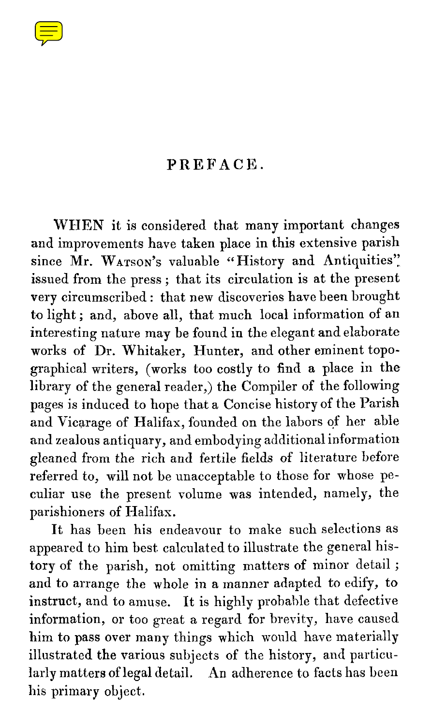

### PREFACE .

**WHEN** it is considered that many important changes and improvements have taken place in this extensive parish since Mr. WATSON's valuable "History and Antiquities". issued from the press; that its circulation is at the present very circumscribed : that new discoveries have been brought to light; and, above all, that much local information of an interesting nature may be found in the elegant and elaborate works of Dr. Whitaker, Hunter, and other eminent topographical writers, (works too costly to find a place in the library of the general reader,) the Compiler of the following pages is induced to hope that a Concise history of the Parish and Vicarage of Halifax, founded on the labors of her able and zealous antiquary, and embodying additional information gleaned from the rich and fertile fields of literature before referred to, will not be unacceptable to those for whose peculiar use the present volume was intended, namely, the parishioners of Halifax.

It has been his endeavour to make such selections as appeared to him best calculated to illustrate the general history of the parish, not omitting matters of minor detail ; and to arrange the whole in a manner adapted to edify, to instruct, and to amuse. It is highly probable that defective information, or too great a regard for brevity, have caused him to pass over many things which would have materially illustrated the various subjects of the history, and particularly matters of legal detail. An adherence to facts has been his primary object.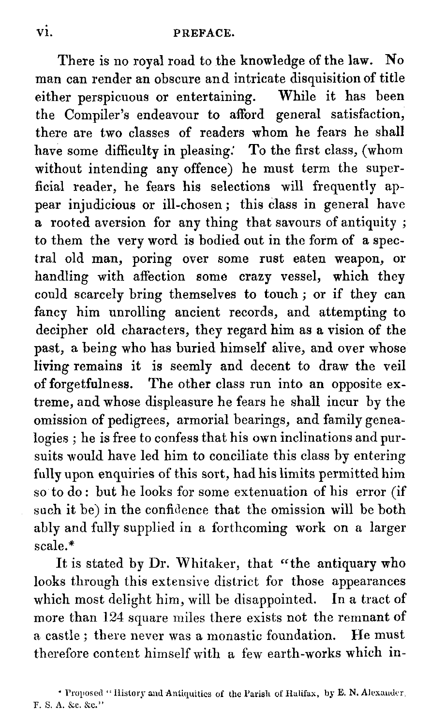There is no royal road to the knowledge of the law. No man can render an obscure and intricate disquisition of title either perspicuous or entertaining. While it has been the Compiler's endeavour to afford general satisfaction, there are two classes of readers whom he fears he shall have some difficulty in pleasing. To the first class, (whom without intending any offence) he must term the superficial reader, he fears his selections will frequently appear injudicious or ill-chosen; this class in general have a rooted aversion for any thing that savours of antiquity ; to them the very word is bodied out in the form of a spectral old man, poring over some rust eaten weapon, or handling with affection some crazy vessel, which they could scarcely bring themselves to touch ; or if they can fancy him unrolling ancient records, and attempting to decipher old characters, they regard him as a vision of the past, a being who has buried himself alive, and over whose living remains it is seemly and decent to draw the veil of forgetfulness. The other class run into an opposite extreme, and whose displeasure he fears he shall incur by the omission of pedigrees, armorial bearings, and family genea logies; he is free to confess that his own inclinations and pursuits would have led him to conciliate this class by entering fully upon enquiries of this sort, had his limits permitted him so to do : but he looks for some extenuation of his error (if such it be) in the confidence that the omission will be both ably and fully supplied in a forthcoming work on a larger scale.\*

It is stated by Dr. Whitaker, that "the antiquary who looks through this extensive district for those appearances which most delight him, will be disappointed. In a tract of more than 124 square miles there exists not the remnant of a castle; there never was a monastic foundation. He must therefore content himself with a few earth-works which in -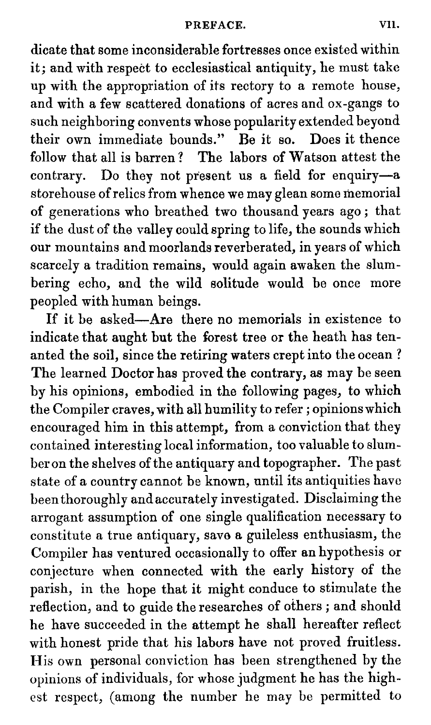dicate that some inconsiderable fortresses once existed within it; and with respect to ecclesiastical antiquity, he must take up with the appropriation of its rectory to a remote house, and with a few scattered donations of acres and ox-gangs to such neighboring convents whose popularity extended beyond<br>their own immediate bounds." Be it so. Does it thence their own immediate bounds." Be it so. follow that all is barren? The labors of Watson attest the contrary. Do they not present us a field for enquiry—a storehouse of relics from whence we may glean some memorial of generations who breathed two thousand years ago ; that if the dust of the valley could spring to life, the sounds which our mountains and moorlands reverberated, in years of which scarcely a tradition remains, would again awaken the slumbering echo, and the wild solitude would be once more peopled with human beings.

If it be asked—Are there no memorials in existence to indicate that aught but the forest tree or the heath has tenanted the soil, since the retiring waters crept into the ocean ? The learned Doctor has proved the contrary, as may be seen by his opinions, embodied in the following pages, to which the Compiler craves, with all humility to refer ; opinions which encouraged him in this attempt, from a conviction that they contained interesting local information, too valuable t ber on the shelves of the antiquary and topographer. The past state of a country cannot be known, until its antiquities have been thoroughly and accurately investigated. Disclaiming the arrogant assumption of one single qualification necessary to constitute a true antiquary, save a guileless enthusiasm, the Compiler has ventured occasionally to offer an hypothesis or conjecture when connected with the early history of the parish, in the hope that it might conduce to stimulate the reflection, and to guide the researches of others ; and should he have succeeded in the attempt he shall hereafter reflect with honest pride that his labors have not proved fruitless. His own personal conviction has been strengthened by the opinions of individuals, for whose judgment he has th est respect, (among the number he may be permitted to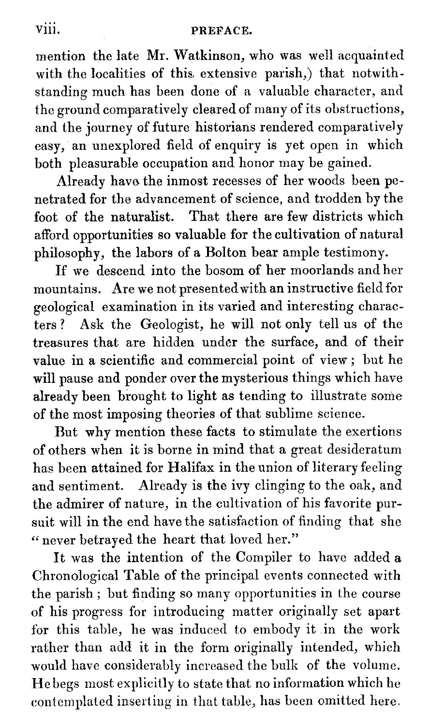## viii. PREFACE.

mention the late Mr. Watkinson, who was well acquainted with the localities of this extensive parish,) that notwithstanding much has been done of a valuable character, and the ground comparatively cleared of many of its obstructions, and the journey of future historians rendered comparatively easy, an unexplored field of enquiry is yet open in which both pleasurable occupation and honor may be gained.

Already have the inmost recesses of her woods been penetrated for the advancement of science, and trodden by the foot of the naturalist. That there are few districts which afford opportunities so valuable for the cultivation of natural philosophy, the labors of a Bolton bear ample testimony.

If we descend into the bosom of her moorlands and her mountains. Are we not presented with an instructive field for geological examination in its varied and interesting characters? Ask the Geologist, he will not only tell us of the treasures that are hidden under the surface, and of their value in a scientific and commercial point of view ; but he will pause and ponder over the mysterious things which have already been brought to light as tending to illustrate some of the most imposing theories of that sublime science .

But why mention these facts to stimulate the exertions of others when it is borne in mind that a great desideratum has been attained for Halifax in the union of literary feeling and sentiment. Already is the ivy clinging to the oak, and the admirer of nature, in the cultivation of his favorit suit will in the end have the satisfaction of finding that she " never betrayed the heart that loved her."

It was the intention of the Compiler to have added a Chronological Table of the principal events connected with the parish ; but finding so many opportunities in the course of his progress for introducing matter originally set apart for this table, he was induced to embody it in the work rather than add it in the form originally intended, which would have considerably increased the bulk of the volume. He begs most explicitly to state that no information which he contemplated inserting in that table, has been omitted here .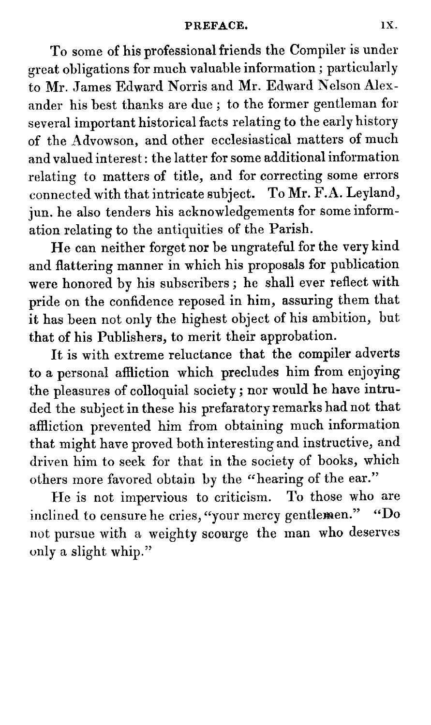To some of his professional friends the Compiler is under great obligations for much valuable information ; particularly to Mr. James Edward Norris and Mr. Edward Nelso ander his best thanks are due; to the former gentleman for several important historical facts relating to the early history of the Advowson, and other ecclesiastical matters of much and valued interest : the latter for some additional information relating to matters of title, and for correcting some errors connected with that intricate subject. To Mr.  $\check{\mathrm{F}}.\mathrm{A}$ . Leyland, jun. he also tenders his acknowledgements for some information relating to the antiquities of the Parish. . The information relation  $\mathcal{E}$ 

He can neither forget nor be ungrateful for the very kind and flattering manner in which his proposals for publication were honored by his subscribers ; he shall ever reflect with pride on the confidence reposed in him, assuring them that it has been not only the highest object of his ambition, but that of his Publishers, to merit their approbation.

It is with extreme reluctance that the compiler adverts to a personal affliction which precludes him from enjoying the pleasures of colloquial society ; nor would he have intruded the subject in these his prefaratory remarks had not that affliction prevented him from obtaining much information that might have proved both interesting and instructive, and driven him to seek for that in the society of books, which others more favored obtain by the "hearing of the ear."<br>He is not impervious to criticism. To those who are

He is not impervious to criticism. inclined to censure he cries, "your mercy gentlemen." "Do not pursue with a weighty scourge the man who deserves only a slight whip."